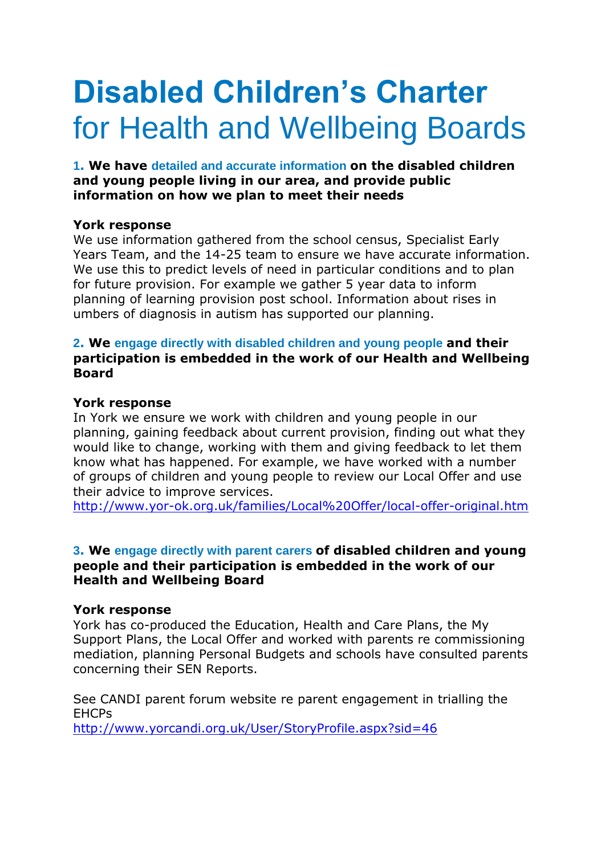# **Disabled Children's Charter** for Health and Wellbeing Boards

**1. We have detailed and accurate information on the disabled children and young people living in our area, and provide public information on how we plan to meet their needs**

#### **York response**

We use information gathered from the school census, Specialist Early Years Team, and the 14-25 team to ensure we have accurate information. We use this to predict levels of need in particular conditions and to plan for future provision. For example we gather 5 year data to inform planning of learning provision post school. Information about rises in umbers of diagnosis in autism has supported our planning.

### **2. We engage directly with disabled children and young people and their participation is embedded in the work of our Health and Wellbeing Board**

#### **York response**

In York we ensure we work with children and young people in our planning, gaining feedback about current provision, finding out what they would like to change, working with them and giving feedback to let them know what has happened. For example, we have worked with a number of groups of children and young people to review our Local Offer and use their advice to improve services.

<http://www.yor-ok.org.uk/families/Local%20Offer/local-offer-original.htm>

### **3. We engage directly with parent carers of disabled children and young people and their participation is embedded in the work of our Health and Wellbeing Board**

#### **York response**

York has co-produced the Education, Health and Care Plans, the My Support Plans, the Local Offer and worked with parents re commissioning mediation, planning Personal Budgets and schools have consulted parents concerning their SEN Reports.

See CANDI parent forum website re parent engagement in trialling the EHCPs

<http://www.yorcandi.org.uk/User/StoryProfile.aspx?sid=46>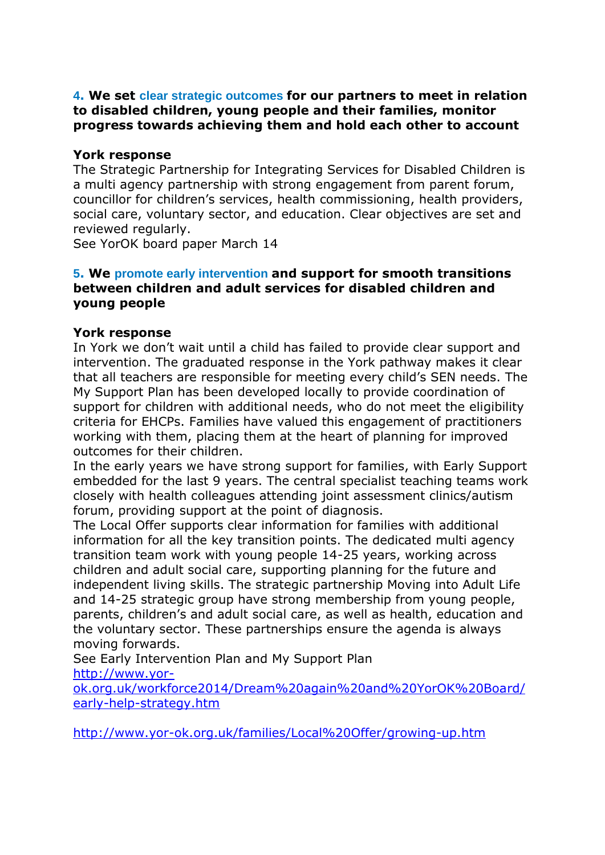# **4. We set clear strategic outcomes for our partners to meet in relation to disabled children, young people and their families, monitor progress towards achieving them and hold each other to account**

# **York response**

The Strategic Partnership for Integrating Services for Disabled Children is a multi agency partnership with strong engagement from parent forum, councillor for children's services, health commissioning, health providers, social care, voluntary sector, and education. Clear objectives are set and reviewed regularly.

See YorOK board paper March 14

# **5. We promote early intervention and support for smooth transitions between children and adult services for disabled children and young people**

# **York response**

In York we don't wait until a child has failed to provide clear support and intervention. The graduated response in the York pathway makes it clear that all teachers are responsible for meeting every child's SEN needs. The My Support Plan has been developed locally to provide coordination of support for children with additional needs, who do not meet the eligibility criteria for EHCPs. Families have valued this engagement of practitioners working with them, placing them at the heart of planning for improved outcomes for their children.

In the early years we have strong support for families, with Early Support embedded for the last 9 years. The central specialist teaching teams work closely with health colleagues attending joint assessment clinics/autism forum, providing support at the point of diagnosis.

The Local Offer supports clear information for families with additional information for all the key transition points. The dedicated multi agency transition team work with young people 14-25 years, working across children and adult social care, supporting planning for the future and independent living skills. The strategic partnership Moving into Adult Life and 14-25 strategic group have strong membership from young people, parents, children's and adult social care, as well as health, education and the voluntary sector. These partnerships ensure the agenda is always moving forwards.

See Early Intervention Plan and My Support Plan [http://www.yor-](http://www.yor-ok.org.uk/workforce2014/Dream%20again%20and%20YorOK%20Board/early-help-strategy.htm)

[ok.org.uk/workforce2014/Dream%20again%20and%20YorOK%20Board/](http://www.yor-ok.org.uk/workforce2014/Dream%20again%20and%20YorOK%20Board/early-help-strategy.htm) [early-help-strategy.htm](http://www.yor-ok.org.uk/workforce2014/Dream%20again%20and%20YorOK%20Board/early-help-strategy.htm)

<http://www.yor-ok.org.uk/families/Local%20Offer/growing-up.htm>